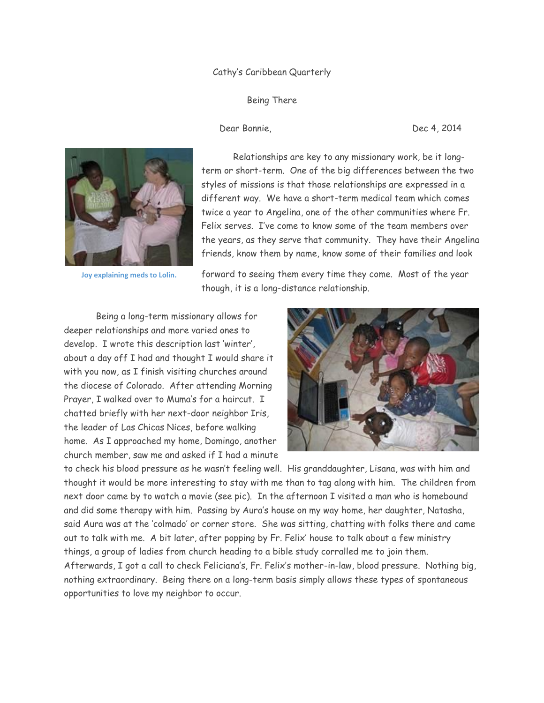## Cathy's Caribbean Quarterly

Being There

Dear Bonnie, Dec 4, 2014



 **Joy explaining meds to Lolin.**

 Relationships are key to any missionary work, be it longterm or short-term. One of the big differences between the two styles of missions is that those relationships are expressed in a different way. We have a short-term medical team which comes twice a year to Angelina, one of the other communities where Fr. Felix serves. I've come to know some of the team members over the years, as they serve that community. They have their Angelina friends, know them by name, know some of their families and look

forward to seeing them every time they come. Most of the year though, it is a long-distance relationship.

 Being a long-term missionary allows for deeper relationships and more varied ones to develop. I wrote this description last 'winter', about a day off I had and thought I would share it with you now, as I finish visiting churches around the diocese of Colorado. After attending Morning Prayer, I walked over to Muma's for a haircut. I chatted briefly with her next-door neighbor Iris, the leader of Las Chicas Nices, before walking home. As I approached my home, Domingo, another church member, saw me and asked if I had a minute



to check his blood pressure as he wasn't feeling well. His granddaughter, Lisana, was with him and thought it would be more interesting to stay with me than to tag along with him. The children from next door came by to watch a movie (see pic). In the afternoon I visited a man who is homebound and did some therapy with him. Passing by Aura's house on my way home, her daughter, Natasha, said Aura was at the 'colmado' or corner store. She was sitting, chatting with folks there and came out to talk with me. A bit later, after popping by Fr. Felix' house to talk about a few ministry things, a group of ladies from church heading to a bible study corralled me to join them. Afterwards, I got a call to check Feliciana's, Fr. Felix's mother-in-law, blood pressure. Nothing big, nothing extraordinary. Being there on a long-term basis simply allows these types of spontaneous opportunities to love my neighbor to occur.